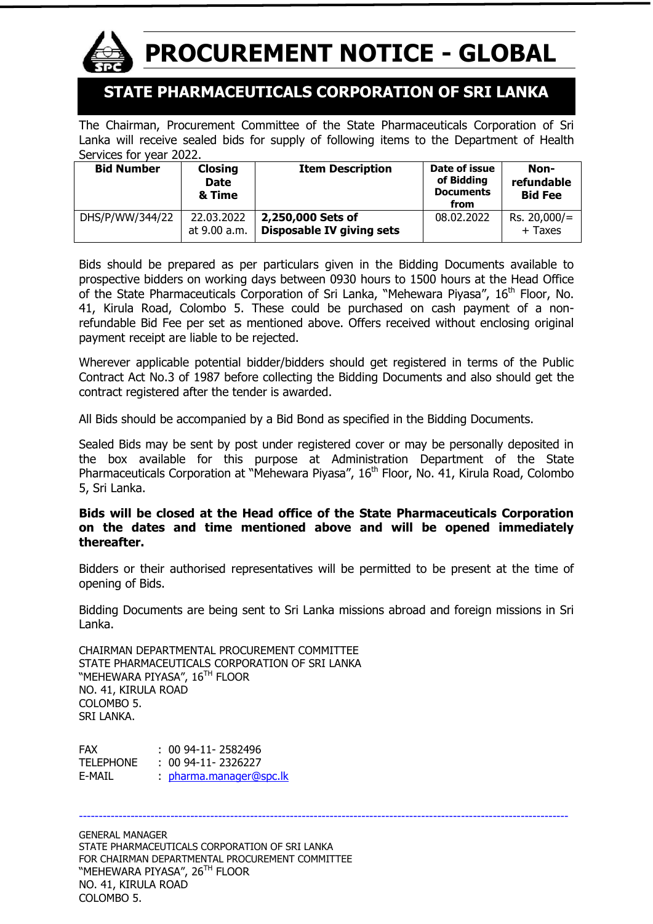

# **PROCUREMENT NOTICE - GLOBAL**

## **STATE PHARMACEUTICALS CORPORATION OF SRI LANKA**

The Chairman, Procurement Committee of the State Pharmaceuticals Corporation of Sri Lanka will receive sealed bids for supply of following items to the Department of Health Services for year 2022.

| <b>Bid Number</b> | <b>Closing</b><br><b>Date</b><br>& Time | <b>Item Description</b>   | Date of issue<br>of Bidding<br><b>Documents</b><br>from | Non-<br>refundable<br><b>Bid Fee</b> |
|-------------------|-----------------------------------------|---------------------------|---------------------------------------------------------|--------------------------------------|
| DHS/P/WW/344/22   | 22.03.2022                              | 2,250,000 Sets of         | 08.02.2022                                              | $Rs. 20,000/=$                       |
|                   | at 9.00 a.m.                            | Disposable IV giving sets |                                                         | + Taxes                              |

Bids should be prepared as per particulars given in the Bidding Documents available to prospective bidders on working days between 0930 hours to 1500 hours at the Head Office of the State Pharmaceuticals Corporation of Sri Lanka, "Mehewara Piyasa", 16<sup>th</sup> Floor, No. 41, Kirula Road, Colombo 5. These could be purchased on cash payment of a nonrefundable Bid Fee per set as mentioned above. Offers received without enclosing original payment receipt are liable to be rejected.

Wherever applicable potential bidder/bidders should get registered in terms of the Public Contract Act No.3 of 1987 before collecting the Bidding Documents and also should get the contract registered after the tender is awarded.

All Bids should be accompanied by a Bid Bond as specified in the Bidding Documents.

Sealed Bids may be sent by post under registered cover or may be personally deposited in the box available for this purpose at Administration Department of the State Pharmaceuticals Corporation at "Mehewara Piyasa", 16<sup>th</sup> Floor, No. 41, Kirula Road, Colombo 5, Sri Lanka.

#### **Bids will be closed at the Head office of the State Pharmaceuticals Corporation on the dates and time mentioned above and will be opened immediately thereafter.**

Bidders or their authorised representatives will be permitted to be present at the time of opening of Bids.

Bidding Documents are being sent to Sri Lanka missions abroad and foreign missions in Sri Lanka.

CHAIRMAN DEPARTMENTAL PROCUREMENT COMMITTEE STATE PHARMACEUTICALS CORPORATION OF SRI LANKA "MEHEWARA PIYASA", 16<sup>th</sup> Floor NO. 41, KIRULA ROAD COLOMBO 5. SRI LANKA.

FAX : 00 94-11-2582496 TELEPHONE : 00 94-11- 2326227 E-MAIL : [pharma.manager@spc.lk](mailto:pharma.manager@spc.lk)

---------------------------------------------------------------------------------------------------------------------------

GENERAL MANAGER STATE PHARMACEUTICALS CORPORATION OF SRI LANKA FOR CHAIRMAN DEPARTMENTAL PROCUREMENT COMMITTEE "MEHEWARA PIYASA", 26<sup>th</sup> Floor NO. 41, KIRULA ROAD COLOMBO 5.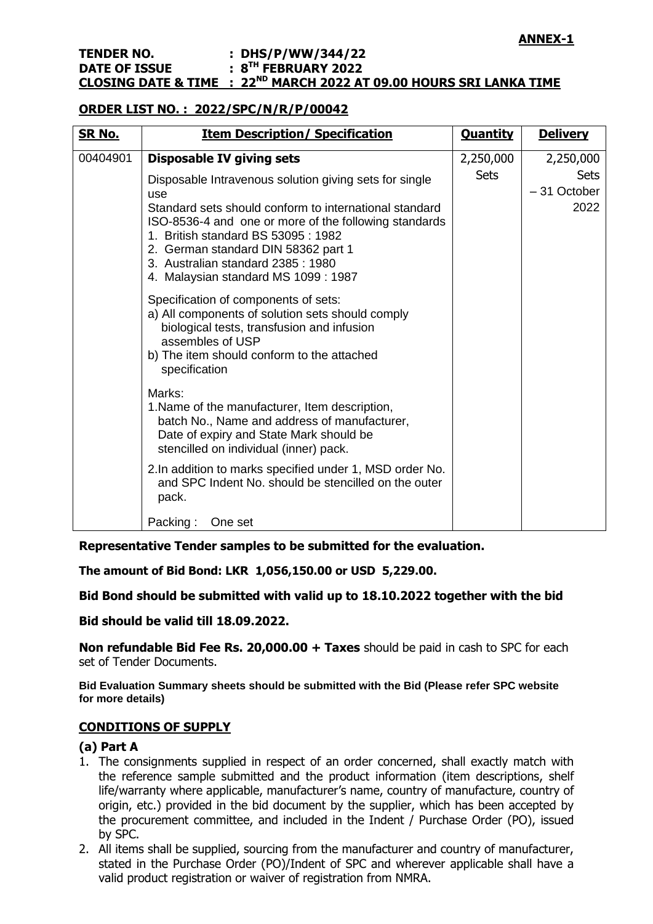#### **TENDER NO. : DHS/P/WW/344/22 DATE OF ISSUE TH FEBRUARY 2022 CLOSING DATE & TIME : 22ND MARCH 2022 AT 09.00 HOURS SRI LANKA TIME**

#### **ORDER LIST NO. : 2022/SPC/N/R/P/00042**

| <u>SR No.</u> | <b>Item Description/ Specification</b>                                                                                                                                                                                                                                                                                                                                        | <b>Quantity</b>          | <b>Delivery</b>                                   |
|---------------|-------------------------------------------------------------------------------------------------------------------------------------------------------------------------------------------------------------------------------------------------------------------------------------------------------------------------------------------------------------------------------|--------------------------|---------------------------------------------------|
| 00404901      | <b>Disposable IV giving sets</b><br>Disposable Intravenous solution giving sets for single<br>use<br>Standard sets should conform to international standard<br>ISO-8536-4 and one or more of the following standards<br>1. British standard BS 53095: 1982<br>2. German standard DIN 58362 part 1<br>3. Australian standard 2385: 1980<br>4. Malaysian standard MS 1099: 1987 | 2,250,000<br><b>Sets</b> | 2,250,000<br><b>Sets</b><br>$-31$ October<br>2022 |
|               | Specification of components of sets:<br>a) All components of solution sets should comply<br>biological tests, transfusion and infusion<br>assembles of USP<br>b) The item should conform to the attached<br>specification                                                                                                                                                     |                          |                                                   |
|               | Marks:<br>1. Name of the manufacturer, Item description,<br>batch No., Name and address of manufacturer,<br>Date of expiry and State Mark should be<br>stencilled on individual (inner) pack.                                                                                                                                                                                 |                          |                                                   |
|               | 2. In addition to marks specified under 1, MSD order No.<br>and SPC Indent No. should be stencilled on the outer<br>pack.                                                                                                                                                                                                                                                     |                          |                                                   |
|               | Packing:<br>One set                                                                                                                                                                                                                                                                                                                                                           |                          |                                                   |

**Representative Tender samples to be submitted for the evaluation.**

**The amount of Bid Bond: LKR 1,056,150.00 or USD 5,229.00.**

**Bid Bond should be submitted with valid up to 18.10.2022 together with the bid**

**Bid should be valid till 18.09.2022.**

**Non refundable Bid Fee Rs. 20,000.00 + Taxes** should be paid in cash to SPC for each set of Tender Documents.

**Bid Evaluation Summary sheets should be submitted with the Bid (Please refer SPC website for more details)**

#### **CONDITIONS OF SUPPLY**

### **(a) Part A**

- 1. The consignments supplied in respect of an order concerned, shall exactly match with the reference sample submitted and the product information (item descriptions, shelf life/warranty where applicable, manufacturer's name, country of manufacture, country of origin, etc.) provided in the bid document by the supplier, which has been accepted by the procurement committee, and included in the Indent / Purchase Order (PO), issued by SPC.
- 2. All items shall be supplied, sourcing from the manufacturer and country of manufacturer, stated in the Purchase Order (PO)/Indent of SPC and wherever applicable shall have a valid product registration or waiver of registration from NMRA.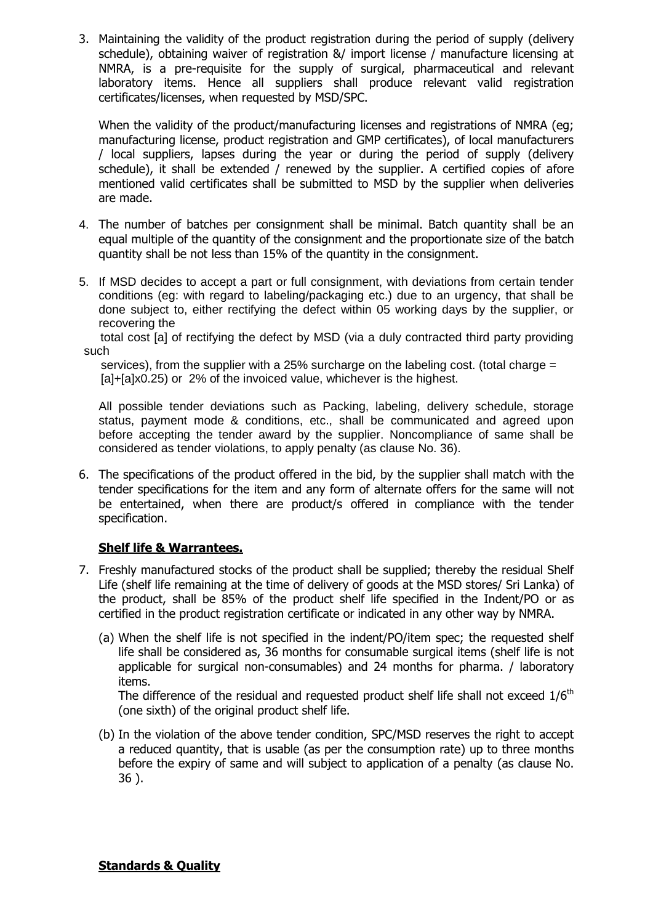3. Maintaining the validity of the product registration during the period of supply (delivery schedule), obtaining waiver of registration &/ import license / manufacture licensing at NMRA, is a pre-requisite for the supply of surgical, pharmaceutical and relevant laboratory items. Hence all suppliers shall produce relevant valid registration certificates/licenses, when requested by MSD/SPC.

When the validity of the product/manufacturing licenses and registrations of NMRA (eg; manufacturing license, product registration and GMP certificates), of local manufacturers / local suppliers, lapses during the year or during the period of supply (delivery schedule), it shall be extended / renewed by the supplier. A certified copies of afore mentioned valid certificates shall be submitted to MSD by the supplier when deliveries are made.

- 4. The number of batches per consignment shall be minimal. Batch quantity shall be an equal multiple of the quantity of the consignment and the proportionate size of the batch quantity shall be not less than 15% of the quantity in the consignment.
- 5. If MSD decides to accept a part or full consignment, with deviations from certain tender conditions (eg: with regard to labeling/packaging etc.) due to an urgency, that shall be done subject to, either rectifying the defect within 05 working days by the supplier, or recovering the

 total cost [a] of rectifying the defect by MSD (via a duly contracted third party providing such

 services), from the supplier with a 25% surcharge on the labeling cost. (total charge = [a]+[a]x0.25) or 2% of the invoiced value, whichever is the highest.

All possible tender deviations such as Packing, labeling, delivery schedule, storage status, payment mode & conditions, etc., shall be communicated and agreed upon before accepting the tender award by the supplier. Noncompliance of same shall be considered as tender violations, to apply penalty (as clause No. 36).

6. The specifications of the product offered in the bid, by the supplier shall match with the tender specifications for the item and any form of alternate offers for the same will not be entertained, when there are product/s offered in compliance with the tender specification.

### **Shelf life & Warrantees.**

- 7. Freshly manufactured stocks of the product shall be supplied; thereby the residual Shelf Life (shelf life remaining at the time of delivery of goods at the MSD stores/ Sri Lanka) of the product, shall be 85% of the product shelf life specified in the Indent/PO or as certified in the product registration certificate or indicated in any other way by NMRA.
	- (a) When the shelf life is not specified in the indent/PO/item spec; the requested shelf life shall be considered as, 36 months for consumable surgical items (shelf life is not applicable for surgical non-consumables) and 24 months for pharma. / laboratory items.

The difference of the residual and requested product shelf life shall not exceed  $1/6<sup>th</sup>$ (one sixth) of the original product shelf life.

(b) In the violation of the above tender condition, SPC/MSD reserves the right to accept a reduced quantity, that is usable (as per the consumption rate) up to three months before the expiry of same and will subject to application of a penalty (as clause No. 36 ).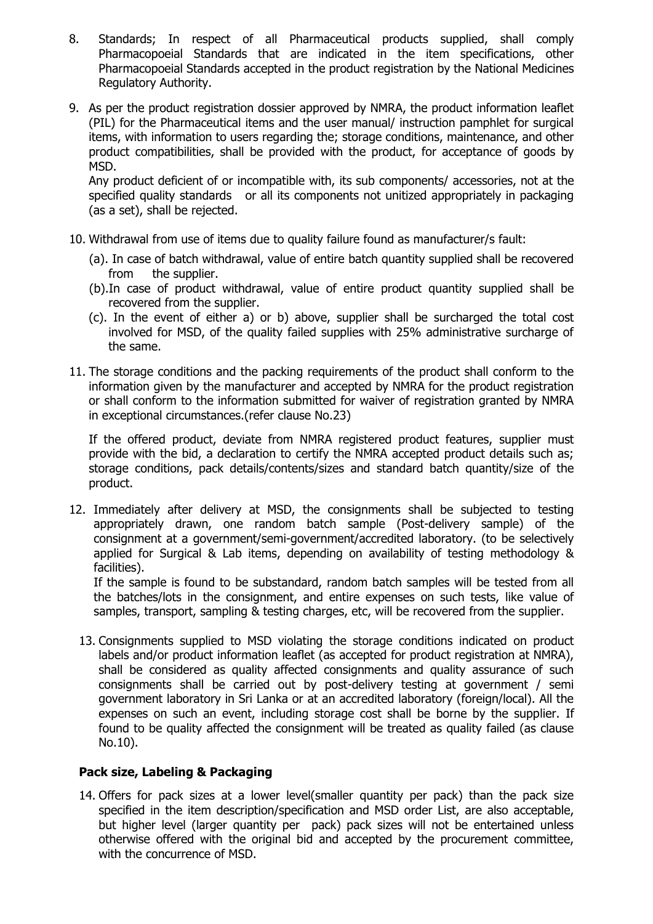- 8. Standards; In respect of all Pharmaceutical products supplied, shall comply Pharmacopoeial Standards that are indicated in the item specifications, other Pharmacopoeial Standards accepted in the product registration by the National Medicines Regulatory Authority.
- 9. As per the product registration dossier approved by NMRA, the product information leaflet (PIL) for the Pharmaceutical items and the user manual/ instruction pamphlet for surgical items, with information to users regarding the; storage conditions, maintenance, and other product compatibilities, shall be provided with the product, for acceptance of goods by MSD.

Any product deficient of or incompatible with, its sub components/ accessories, not at the specified quality standards or all its components not unitized appropriately in packaging (as a set), shall be rejected.

- 10. Withdrawal from use of items due to quality failure found as manufacturer/s fault:
	- (a). In case of batch withdrawal, value of entire batch quantity supplied shall be recovered from the supplier.
	- (b).In case of product withdrawal, value of entire product quantity supplied shall be recovered from the supplier.
	- (c). In the event of either a) or b) above, supplier shall be surcharged the total cost involved for MSD, of the quality failed supplies with 25% administrative surcharge of the same.
- 11. The storage conditions and the packing requirements of the product shall conform to the information given by the manufacturer and accepted by NMRA for the product registration or shall conform to the information submitted for waiver of registration granted by NMRA in exceptional circumstances.(refer clause No.23)

If the offered product, deviate from NMRA registered product features, supplier must provide with the bid, a declaration to certify the NMRA accepted product details such as; storage conditions, pack details/contents/sizes and standard batch quantity/size of the product.

12. Immediately after delivery at MSD, the consignments shall be subjected to testing appropriately drawn, one random batch sample (Post-delivery sample) of the consignment at a government/semi-government/accredited laboratory. (to be selectively applied for Surgical & Lab items, depending on availability of testing methodology & facilities).

If the sample is found to be substandard, random batch samples will be tested from all the batches/lots in the consignment, and entire expenses on such tests, like value of samples, transport, sampling & testing charges, etc, will be recovered from the supplier.

13. Consignments supplied to MSD violating the storage conditions indicated on product labels and/or product information leaflet (as accepted for product registration at NMRA), shall be considered as quality affected consignments and quality assurance of such consignments shall be carried out by post-delivery testing at government / semi government laboratory in Sri Lanka or at an accredited laboratory (foreign/local). All the expenses on such an event, including storage cost shall be borne by the supplier. If found to be quality affected the consignment will be treated as quality failed (as clause No.10).

### **Pack size, Labeling & Packaging**

14. Offers for pack sizes at a lower level(smaller quantity per pack) than the pack size specified in the item description/specification and MSD order List, are also acceptable, but higher level (larger quantity per pack) pack sizes will not be entertained unless otherwise offered with the original bid and accepted by the procurement committee, with the concurrence of MSD.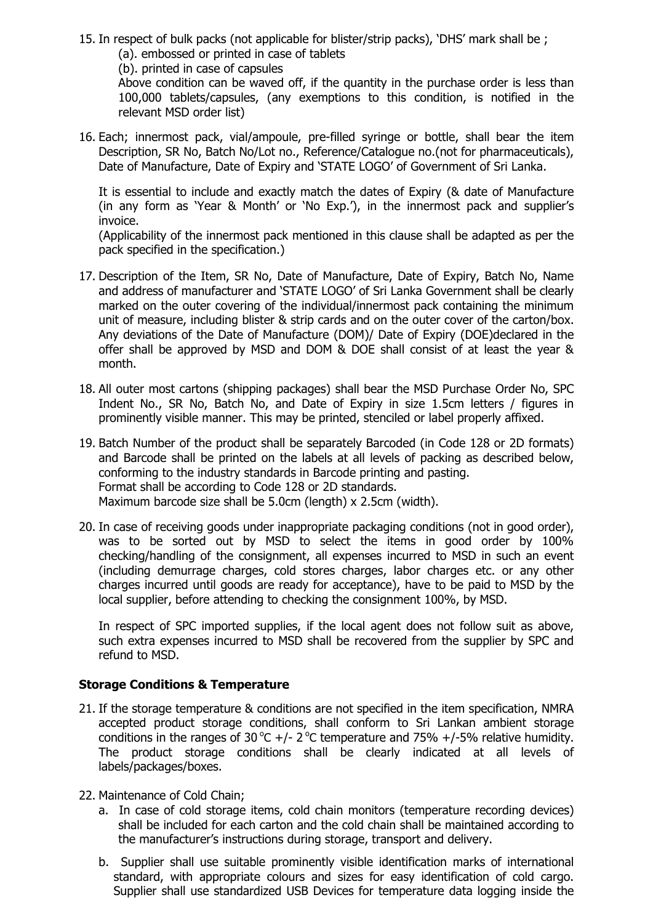- 15. In respect of bulk packs (not applicable for blister/strip packs), "DHS" mark shall be ;
	- (a). embossed or printed in case of tablets
	- (b). printed in case of capsules

Above condition can be waved off, if the quantity in the purchase order is less than 100,000 tablets/capsules, (any exemptions to this condition, is notified in the relevant MSD order list)

16. Each; innermost pack, vial/ampoule, pre-filled syringe or bottle, shall bear the item Description, SR No, Batch No/Lot no., Reference/Catalogue no.(not for pharmaceuticals), Date of Manufacture, Date of Expiry and "STATE LOGO" of Government of Sri Lanka.

It is essential to include and exactly match the dates of Expiry (& date of Manufacture (in any form as 'Year & Month' or 'No Exp.'), in the innermost pack and supplier's invoice.

(Applicability of the innermost pack mentioned in this clause shall be adapted as per the pack specified in the specification.)

- 17. Description of the Item, SR No, Date of Manufacture, Date of Expiry, Batch No, Name and address of manufacturer and "STATE LOGO" of Sri Lanka Government shall be clearly marked on the outer covering of the individual/innermost pack containing the minimum unit of measure, including blister & strip cards and on the outer cover of the carton/box. Any deviations of the Date of Manufacture (DOM)/ Date of Expiry (DOE)declared in the offer shall be approved by MSD and DOM & DOE shall consist of at least the year & month.
- 18. All outer most cartons (shipping packages) shall bear the MSD Purchase Order No, SPC Indent No., SR No, Batch No, and Date of Expiry in size 1.5cm letters / figures in prominently visible manner. This may be printed, stenciled or label properly affixed.
- 19. Batch Number of the product shall be separately Barcoded (in Code 128 or 2D formats) and Barcode shall be printed on the labels at all levels of packing as described below, conforming to the industry standards in Barcode printing and pasting. Format shall be according to Code 128 or 2D standards. Maximum barcode size shall be 5.0cm (length) x 2.5cm (width).
- 20. In case of receiving goods under inappropriate packaging conditions (not in good order), was to be sorted out by MSD to select the items in good order by 100% checking/handling of the consignment, all expenses incurred to MSD in such an event (including demurrage charges, cold stores charges, labor charges etc. or any other charges incurred until goods are ready for acceptance), have to be paid to MSD by the local supplier, before attending to checking the consignment 100%, by MSD.

In respect of SPC imported supplies, if the local agent does not follow suit as above, such extra expenses incurred to MSD shall be recovered from the supplier by SPC and refund to MSD.

### **Storage Conditions & Temperature**

- 21. If the storage temperature & conditions are not specified in the item specification, NMRA accepted product storage conditions, shall conform to Sri Lankan ambient storage conditions in the ranges of 30 °C +/- 2 °C temperature and 75% +/-5% relative humidity. The product storage conditions shall be clearly indicated at all levels of labels/packages/boxes.
- 22. Maintenance of Cold Chain;
	- a. In case of cold storage items, cold chain monitors (temperature recording devices) shall be included for each carton and the cold chain shall be maintained according to the manufacturer's instructions during storage, transport and delivery.
	- b. Supplier shall use suitable prominently visible identification marks of international standard, with appropriate colours and sizes for easy identification of cold cargo. Supplier shall use standardized USB Devices for temperature data logging inside the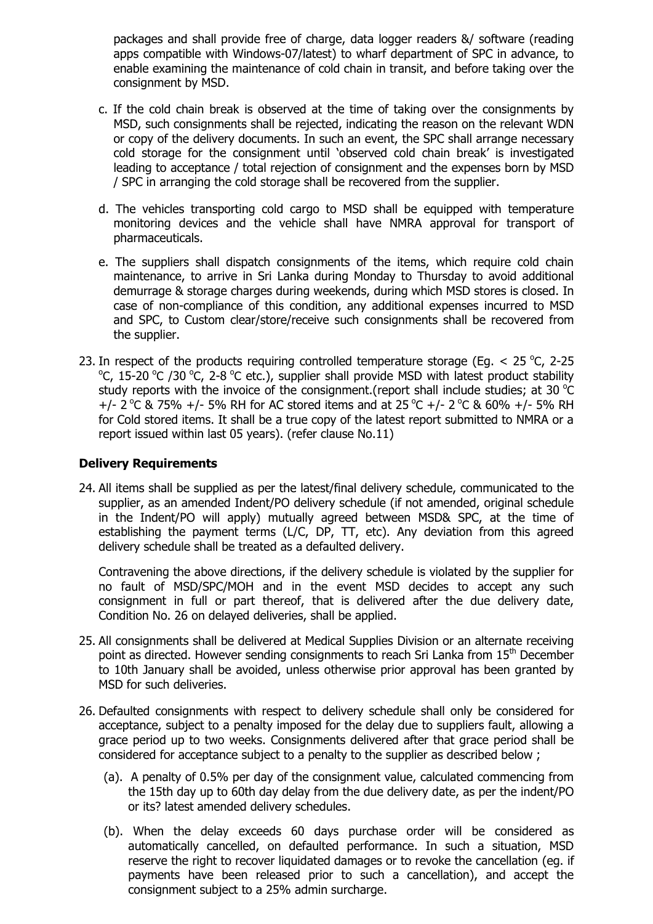packages and shall provide free of charge, data logger readers &/ software (reading apps compatible with Windows-07/latest) to wharf department of SPC in advance, to enable examining the maintenance of cold chain in transit, and before taking over the consignment by MSD.

- c. If the cold chain break is observed at the time of taking over the consignments by MSD, such consignments shall be rejected, indicating the reason on the relevant WDN or copy of the delivery documents. In such an event, the SPC shall arrange necessary cold storage for the consignment until "observed cold chain break" is investigated leading to acceptance / total rejection of consignment and the expenses born by MSD / SPC in arranging the cold storage shall be recovered from the supplier.
- d. The vehicles transporting cold cargo to MSD shall be equipped with temperature monitoring devices and the vehicle shall have NMRA approval for transport of pharmaceuticals.
- e. The suppliers shall dispatch consignments of the items, which require cold chain maintenance, to arrive in Sri Lanka during Monday to Thursday to avoid additional demurrage & storage charges during weekends, during which MSD stores is closed. In case of non-compliance of this condition, any additional expenses incurred to MSD and SPC, to Custom clear/store/receive such consignments shall be recovered from the supplier.
- 23. In respect of the products requiring controlled temperature storage (Eg.  $<$  25 °C, 2-25 °C, 15-20 °C /30 °C, 2-8 °C etc.), supplier shall provide MSD with latest product stability study reports with the invoice of the consignment. (report shall include studies; at 30  $^{\circ}$ C +/- 2 °C & 75% +/- 5% RH for AC stored items and at 25 °C +/- 2 °C & 60% +/- 5% RH for Cold stored items. It shall be a true copy of the latest report submitted to NMRA or a report issued within last 05 years). (refer clause No.11)

#### **Delivery Requirements**

24. All items shall be supplied as per the latest/final delivery schedule, communicated to the supplier, as an amended Indent/PO delivery schedule (if not amended, original schedule in the Indent/PO will apply) mutually agreed between MSD& SPC, at the time of establishing the payment terms (L/C, DP, TT, etc). Any deviation from this agreed delivery schedule shall be treated as a defaulted delivery.

Contravening the above directions, if the delivery schedule is violated by the supplier for no fault of MSD/SPC/MOH and in the event MSD decides to accept any such consignment in full or part thereof, that is delivered after the due delivery date, Condition No. 26 on delayed deliveries, shall be applied.

- 25. All consignments shall be delivered at Medical Supplies Division or an alternate receiving point as directed. However sending consignments to reach Sri Lanka from 15<sup>th</sup> December to 10th January shall be avoided, unless otherwise prior approval has been granted by MSD for such deliveries.
- 26. Defaulted consignments with respect to delivery schedule shall only be considered for acceptance, subject to a penalty imposed for the delay due to suppliers fault, allowing a grace period up to two weeks. Consignments delivered after that grace period shall be considered for acceptance subject to a penalty to the supplier as described below ;
	- (a). A penalty of 0.5% per day of the consignment value, calculated commencing from the 15th day up to 60th day delay from the due delivery date, as per the indent/PO or its? latest amended delivery schedules.
	- (b). When the delay exceeds 60 days purchase order will be considered as automatically cancelled, on defaulted performance. In such a situation, MSD reserve the right to recover liquidated damages or to revoke the cancellation (eg. if payments have been released prior to such a cancellation), and accept the consignment subject to a 25% admin surcharge.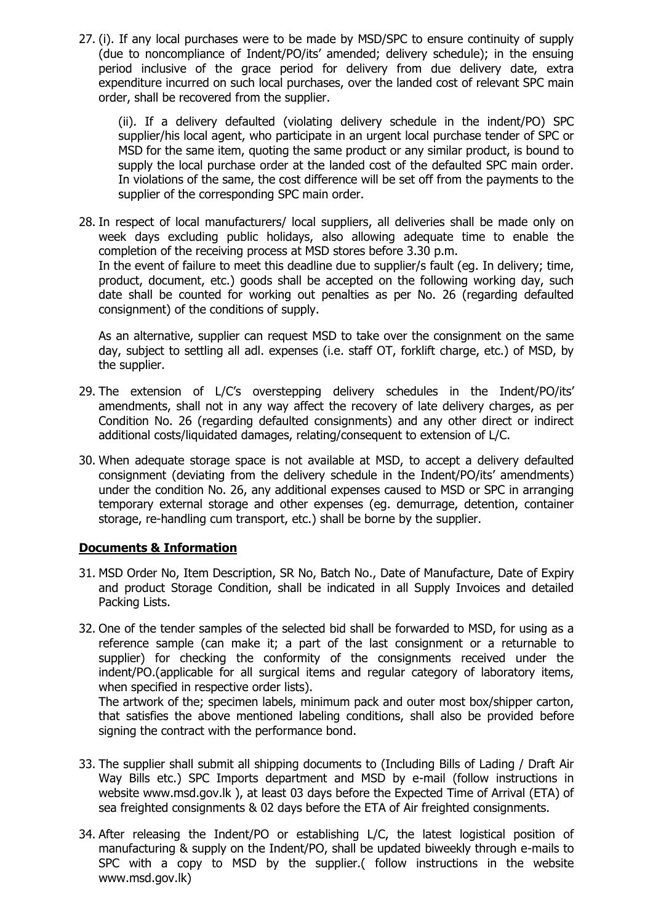27. (i). If any local purchases were to be made by MSD/SPC to ensure continuity of supply (due to noncompliance of Indent/PO/its" amended; delivery schedule); in the ensuing period inclusive of the grace period for delivery from due delivery date, extra expenditure incurred on such local purchases, over the landed cost of relevant SPC main order, shall be recovered from the supplier.

(ii). If a delivery defaulted (violating delivery schedule in the indent/PO) SPC supplier/his local agent, who participate in an urgent local purchase tender of SPC or MSD for the same item, quoting the same product or any similar product, is bound to supply the local purchase order at the landed cost of the defaulted SPC main order. In violations of the same, the cost difference will be set off from the payments to the supplier of the corresponding SPC main order.

28. In respect of local manufacturers/ local suppliers, all deliveries shall be made only on week days excluding public holidays, also allowing adequate time to enable the completion of the receiving process at MSD stores before 3.30 p.m. In the event of failure to meet this deadline due to supplier/s fault (eg. In delivery; time, product, document, etc.) goods shall be accepted on the following working day, such date shall be counted for working out penalties as per No. 26 (regarding defaulted consignment) of the conditions of supply.

As an alternative, supplier can request MSD to take over the consignment on the same day, subject to settling all adl. expenses (i.e. staff OT, forklift charge, etc.) of MSD, by the supplier.

- 29. The extension of L/C's overstepping delivery schedules in the Indent/PO/its' amendments, shall not in any way affect the recovery of late delivery charges, as per Condition No. 26 (regarding defaulted consignments) and any other direct or indirect additional costs/liquidated damages, relating/consequent to extension of L/C.
- 30. When adequate storage space is not available at MSD, to accept a delivery defaulted consignment (deviating from the delivery schedule in the Indent/PO/its" amendments) under the condition No. 26, any additional expenses caused to MSD or SPC in arranging temporary external storage and other expenses (eg. demurrage, detention, container storage, re-handling cum transport, etc.) shall be borne by the supplier.

### **Documents & Information**

- 31. MSD Order No, Item Description, SR No, Batch No., Date of Manufacture, Date of Expiry and product Storage Condition, shall be indicated in all Supply Invoices and detailed Packing Lists.
- 32. One of the tender samples of the selected bid shall be forwarded to MSD, for using as a reference sample (can make it; a part of the last consignment or a returnable to supplier) for checking the conformity of the consignments received under the indent/PO.(applicable for all surgical items and regular category of laboratory items, when specified in respective order lists).

The artwork of the; specimen labels, minimum pack and outer most box/shipper carton, that satisfies the above mentioned labeling conditions, shall also be provided before signing the contract with the performance bond.

- 33. The supplier shall submit all shipping documents to (Including Bills of Lading / Draft Air Way Bills etc.) SPC Imports department and MSD by e-mail (follow instructions in website www.msd.gov.lk ), at least 03 days before the Expected Time of Arrival (ETA) of sea freighted consignments & 02 days before the ETA of Air freighted consignments.
- 34. After releasing the Indent/PO or establishing L/C, the latest logistical position of manufacturing & supply on the Indent/PO, shall be updated biweekly through e-mails to SPC with a copy to MSD by the supplier.( follow instructions in the website www.msd.gov.lk)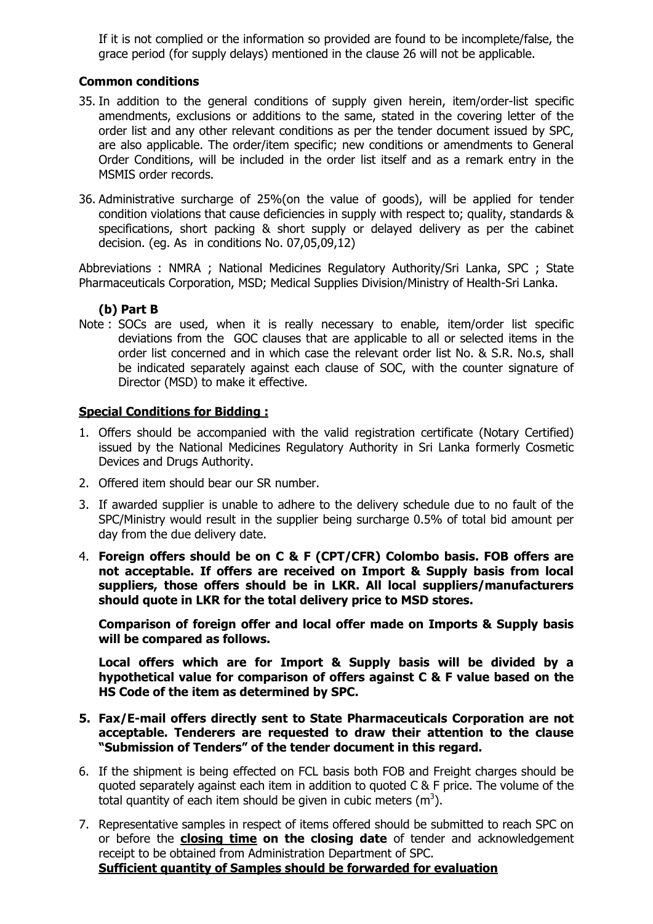If it is not complied or the information so provided are found to be incomplete/false, the grace period (for supply delays) mentioned in the clause 26 will not be applicable.

#### **Common conditions**

- 35. In addition to the general conditions of supply given herein, item/order-list specific amendments, exclusions or additions to the same, stated in the covering letter of the order list and any other relevant conditions as per the tender document issued by SPC, are also applicable. The order/item specific; new conditions or amendments to General Order Conditions, will be included in the order list itself and as a remark entry in the MSMIS order records.
- 36. Administrative surcharge of 25%(on the value of goods), will be applied for tender condition violations that cause deficiencies in supply with respect to; quality, standards & specifications, short packing & short supply or delayed delivery as per the cabinet decision. (eg. As in conditions No. 07,05,09,12)

Abbreviations : NMRA ; National Medicines Regulatory Authority/Sri Lanka, SPC ; State Pharmaceuticals Corporation, MSD; Medical Supplies Division/Ministry of Health-Sri Lanka.

#### **(b) Part B**

Note : SOCs are used, when it is really necessary to enable, item/order list specific deviations from the GOC clauses that are applicable to all or selected items in the order list concerned and in which case the relevant order list No. & S.R. No.s, shall be indicated separately against each clause of SOC, with the counter signature of Director (MSD) to make it effective.

#### **Special Conditions for Bidding :**

- 1. Offers should be accompanied with the valid registration certificate (Notary Certified) issued by the National Medicines Regulatory Authority in Sri Lanka formerly Cosmetic Devices and Drugs Authority.
- 2. Offered item should bear our SR number.
- 3. If awarded supplier is unable to adhere to the delivery schedule due to no fault of the SPC/Ministry would result in the supplier being surcharge 0.5% of total bid amount per day from the due delivery date.
- 4. **Foreign offers should be on C & F (CPT/CFR) Colombo basis. FOB offers are not acceptable. If offers are received on Import & Supply basis from local suppliers, those offers should be in LKR. All local suppliers/manufacturers should quote in LKR for the total delivery price to MSD stores.**

**Comparison of foreign offer and local offer made on Imports & Supply basis will be compared as follows.**

**Local offers which are for Import & Supply basis will be divided by a hypothetical value for comparison of offers against C & F value based on the HS Code of the item as determined by SPC.**

- **5. Fax/E-mail offers directly sent to State Pharmaceuticals Corporation are not acceptable. Tenderers are requested to draw their attention to the clause "Submission of Tenders" of the tender document in this regard.**
- 6. If the shipment is being effected on FCL basis both FOB and Freight charges should be quoted separately against each item in addition to quoted C & F price. The volume of the total quantity of each item should be given in cubic meters ( $m<sup>3</sup>$ ).
- 7. Representative samples in respect of items offered should be submitted to reach SPC on or before the **closing time on the closing date** of tender and acknowledgement receipt to be obtained from Administration Department of SPC. **Sufficient quantity of Samples should be forwarded for evaluation**